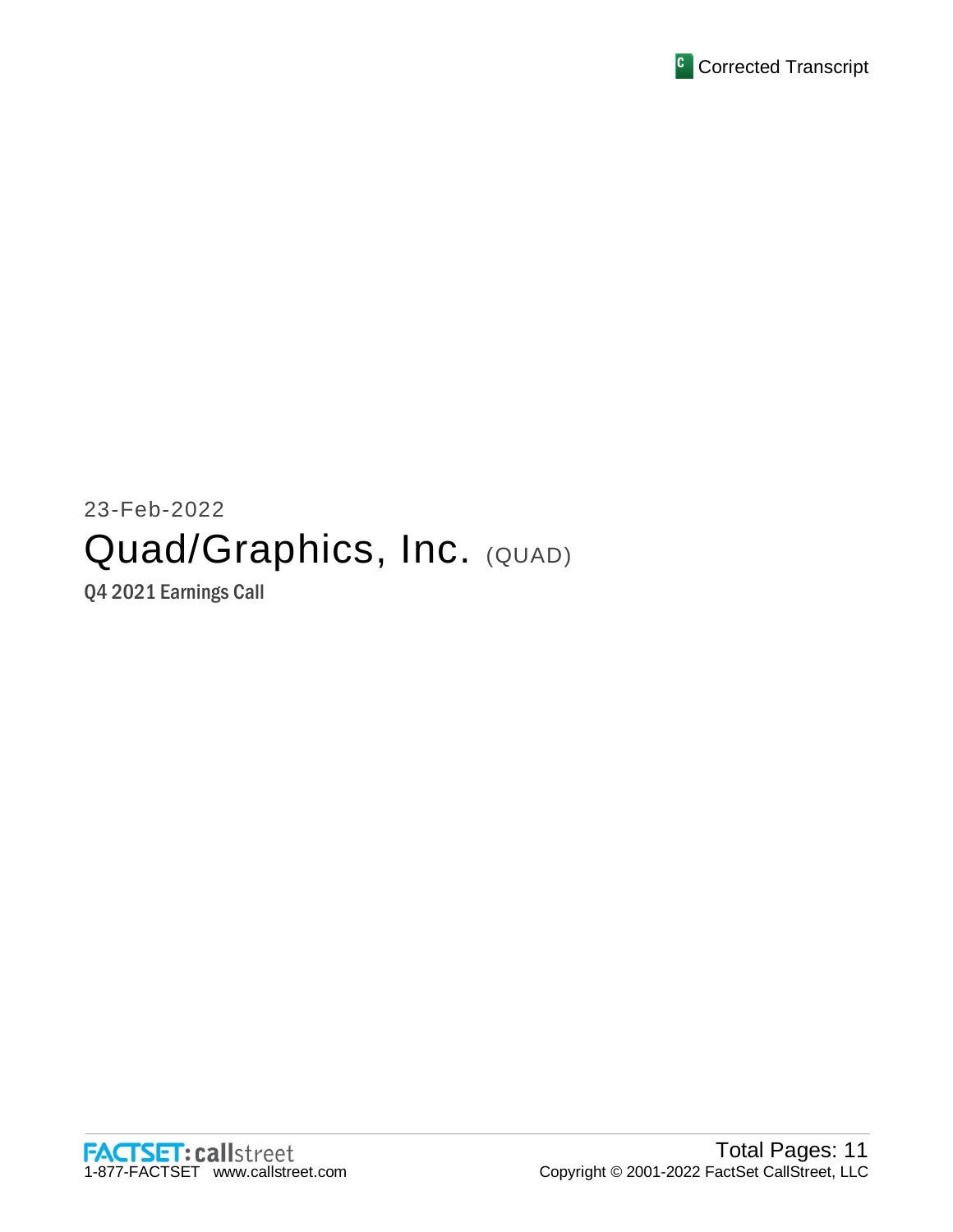

# 23-Feb-2022 Quad/Graphics, Inc. (QUAD)

Q4 2021 Earnings Call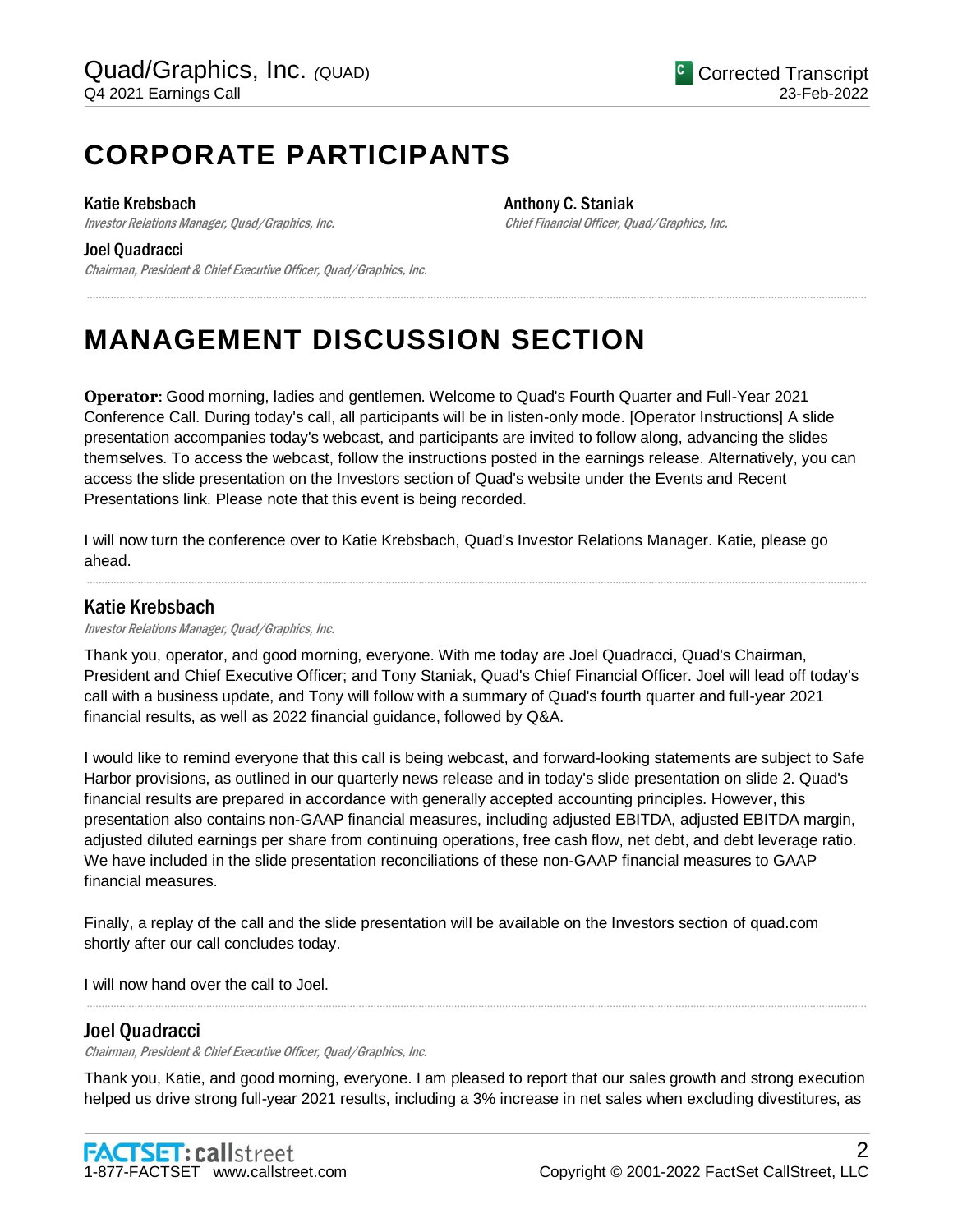## **CORPORATE PARTICIPANTS**

#### Katie Krebsbach

Investor Relations Manager, Quad/Graphics, Inc.

#### Joel Quadracci

Chairman, President & Chief Executive Officer, Quad/Graphics, Inc.

Anthony C. Staniak Chief Financial Officer, Quad/Graphics, Inc.

## **MANAGEMENT DISCUSSION SECTION**

**Operator**: Good morning, ladies and gentlemen. Welcome to Quad's Fourth Quarter and Full-Year 2021 Conference Call. During today's call, all participants will be in listen-only mode. [Operator Instructions] A slide presentation accompanies today's webcast, and participants are invited to follow along, advancing the slides themselves. To access the webcast, follow the instructions posted in the earnings release. Alternatively, you can access the slide presentation on the Investors section of Quad's website under the Events and Recent Presentations link. Please note that this event is being recorded.

.....................................................................................................................................................................................................................................................................

I will now turn the conference over to Katie Krebsbach, Quad's Investor Relations Manager. Katie, please go ahead.

### Katie Krebsbach

Investor Relations Manager, Quad/Graphics, Inc.

Thank you, operator, and good morning, everyone. With me today are Joel Quadracci, Quad's Chairman, President and Chief Executive Officer; and Tony Staniak, Quad's Chief Financial Officer. Joel will lead off today's call with a business update, and Tony will follow with a summary of Quad's fourth quarter and full-year 2021 financial results, as well as 2022 financial guidance, followed by Q&A.

.....................................................................................................................................................................................................................................................................

I would like to remind everyone that this call is being webcast, and forward-looking statements are subject to Safe Harbor provisions, as outlined in our quarterly news release and in today's slide presentation on slide 2. Quad's financial results are prepared in accordance with generally accepted accounting principles. However, this presentation also contains non-GAAP financial measures, including adjusted EBITDA, adjusted EBITDA margin, adjusted diluted earnings per share from continuing operations, free cash flow, net debt, and debt leverage ratio. We have included in the slide presentation reconciliations of these non-GAAP financial measures to GAAP financial measures.

Finally, a replay of the call and the slide presentation will be available on the Investors section of quad.com shortly after our call concludes today.

I will now hand over the call to Joel.

#### Joel Quadracci

Chairman, President & Chief Executive Officer, Quad/Graphics, Inc.

Thank you, Katie, and good morning, everyone. I am pleased to report that our sales growth and strong execution helped us drive strong full-year 2021 results, including a 3% increase in net sales when excluding divestitures, as

.....................................................................................................................................................................................................................................................................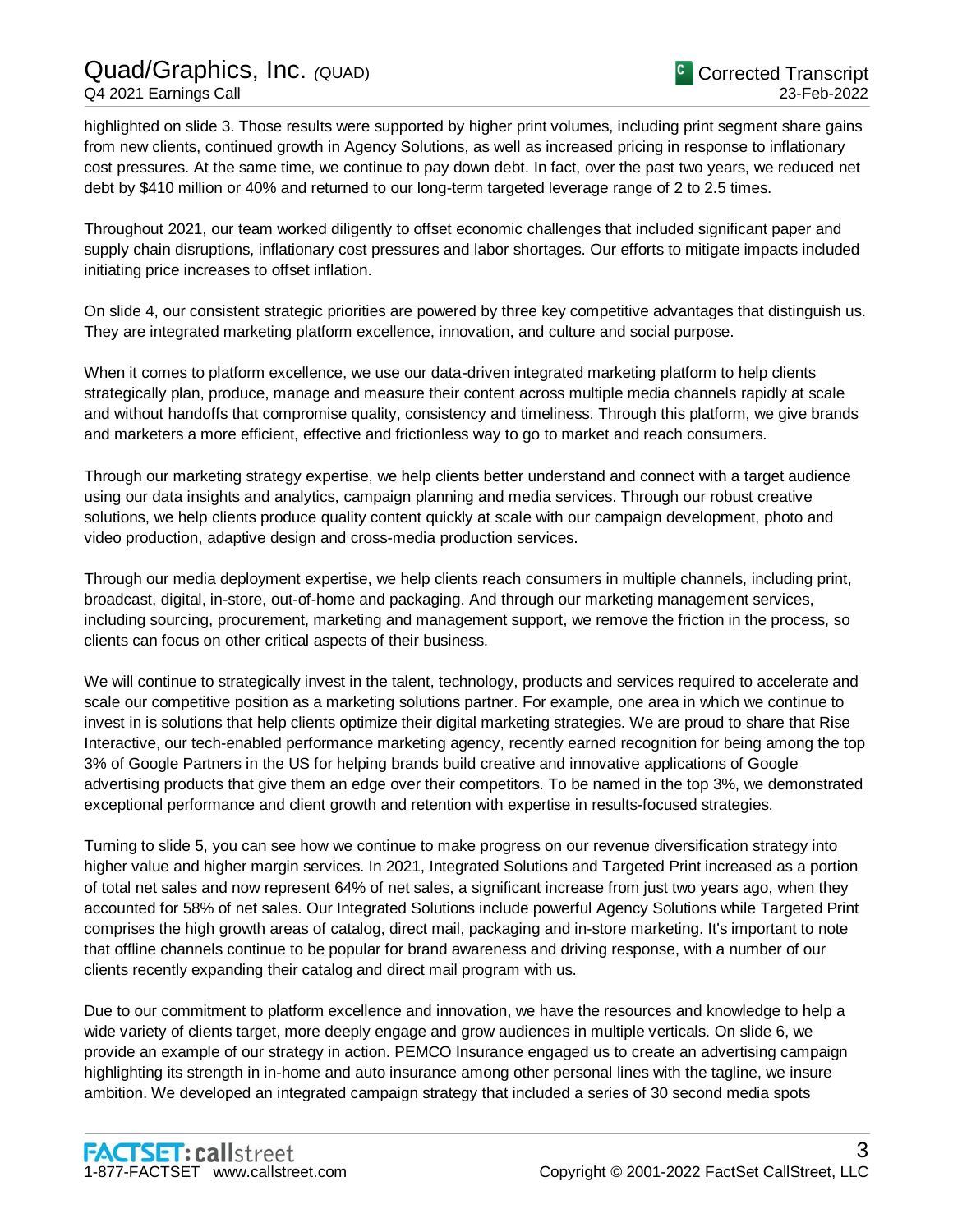## Quad/Graphics, Inc. *(*QUAD) Q4 2021 Earnings Call

highlighted on slide 3. Those results were supported by higher print volumes, including print segment share gains from new clients, continued growth in Agency Solutions, as well as increased pricing in response to inflationary cost pressures. At the same time, we continue to pay down debt. In fact, over the past two years, we reduced net debt by \$410 million or 40% and returned to our long-term targeted leverage range of 2 to 2.5 times.

Throughout 2021, our team worked diligently to offset economic challenges that included significant paper and supply chain disruptions, inflationary cost pressures and labor shortages. Our efforts to mitigate impacts included initiating price increases to offset inflation.

On slide 4, our consistent strategic priorities are powered by three key competitive advantages that distinguish us. They are integrated marketing platform excellence, innovation, and culture and social purpose.

When it comes to platform excellence, we use our data-driven integrated marketing platform to help clients strategically plan, produce, manage and measure their content across multiple media channels rapidly at scale and without handoffs that compromise quality, consistency and timeliness. Through this platform, we give brands and marketers a more efficient, effective and frictionless way to go to market and reach consumers.

Through our marketing strategy expertise, we help clients better understand and connect with a target audience using our data insights and analytics, campaign planning and media services. Through our robust creative solutions, we help clients produce quality content quickly at scale with our campaign development, photo and video production, adaptive design and cross-media production services.

Through our media deployment expertise, we help clients reach consumers in multiple channels, including print, broadcast, digital, in-store, out-of-home and packaging. And through our marketing management services, including sourcing, procurement, marketing and management support, we remove the friction in the process, so clients can focus on other critical aspects of their business.

We will continue to strategically invest in the talent, technology, products and services required to accelerate and scale our competitive position as a marketing solutions partner. For example, one area in which we continue to invest in is solutions that help clients optimize their digital marketing strategies. We are proud to share that Rise Interactive, our tech-enabled performance marketing agency, recently earned recognition for being among the top 3% of Google Partners in the US for helping brands build creative and innovative applications of Google advertising products that give them an edge over their competitors. To be named in the top 3%, we demonstrated exceptional performance and client growth and retention with expertise in results-focused strategies.

Turning to slide 5, you can see how we continue to make progress on our revenue diversification strategy into higher value and higher margin services. In 2021, Integrated Solutions and Targeted Print increased as a portion of total net sales and now represent 64% of net sales, a significant increase from just two years ago, when they accounted for 58% of net sales. Our Integrated Solutions include powerful Agency Solutions while Targeted Print comprises the high growth areas of catalog, direct mail, packaging and in-store marketing. It's important to note that offline channels continue to be popular for brand awareness and driving response, with a number of our clients recently expanding their catalog and direct mail program with us.

Due to our commitment to platform excellence and innovation, we have the resources and knowledge to help a wide variety of clients target, more deeply engage and grow audiences in multiple verticals. On slide 6, we provide an example of our strategy in action. PEMCO Insurance engaged us to create an advertising campaign highlighting its strength in in-home and auto insurance among other personal lines with the tagline, we insure ambition. We developed an integrated campaign strategy that included a series of 30 second media spots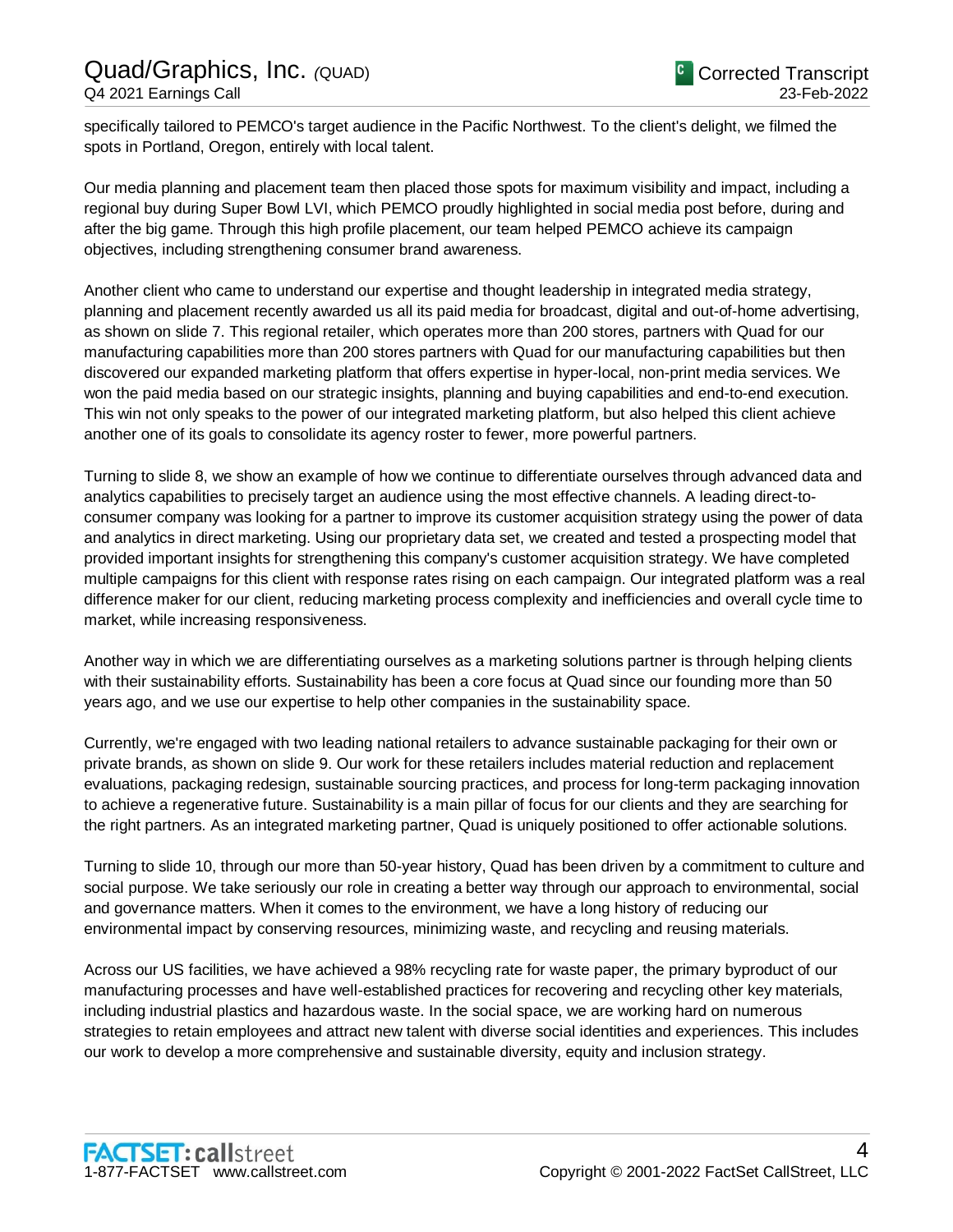specifically tailored to PEMCO's target audience in the Pacific Northwest. To the client's delight, we filmed the spots in Portland, Oregon, entirely with local talent.

Our media planning and placement team then placed those spots for maximum visibility and impact, including a regional buy during Super Bowl LVI, which PEMCO proudly highlighted in social media post before, during and after the big game. Through this high profile placement, our team helped PEMCO achieve its campaign objectives, including strengthening consumer brand awareness.

Another client who came to understand our expertise and thought leadership in integrated media strategy, planning and placement recently awarded us all its paid media for broadcast, digital and out-of-home advertising, as shown on slide 7. This regional retailer, which operates more than 200 stores, partners with Quad for our manufacturing capabilities more than 200 stores partners with Quad for our manufacturing capabilities but then discovered our expanded marketing platform that offers expertise in hyper-local, non-print media services. We won the paid media based on our strategic insights, planning and buying capabilities and end-to-end execution. This win not only speaks to the power of our integrated marketing platform, but also helped this client achieve another one of its goals to consolidate its agency roster to fewer, more powerful partners.

Turning to slide 8, we show an example of how we continue to differentiate ourselves through advanced data and analytics capabilities to precisely target an audience using the most effective channels. A leading direct-toconsumer company was looking for a partner to improve its customer acquisition strategy using the power of data and analytics in direct marketing. Using our proprietary data set, we created and tested a prospecting model that provided important insights for strengthening this company's customer acquisition strategy. We have completed multiple campaigns for this client with response rates rising on each campaign. Our integrated platform was a real difference maker for our client, reducing marketing process complexity and inefficiencies and overall cycle time to market, while increasing responsiveness.

Another way in which we are differentiating ourselves as a marketing solutions partner is through helping clients with their sustainability efforts. Sustainability has been a core focus at Quad since our founding more than 50 years ago, and we use our expertise to help other companies in the sustainability space.

Currently, we're engaged with two leading national retailers to advance sustainable packaging for their own or private brands, as shown on slide 9. Our work for these retailers includes material reduction and replacement evaluations, packaging redesign, sustainable sourcing practices, and process for long-term packaging innovation to achieve a regenerative future. Sustainability is a main pillar of focus for our clients and they are searching for the right partners. As an integrated marketing partner, Quad is uniquely positioned to offer actionable solutions.

Turning to slide 10, through our more than 50-year history, Quad has been driven by a commitment to culture and social purpose. We take seriously our role in creating a better way through our approach to environmental, social and governance matters. When it comes to the environment, we have a long history of reducing our environmental impact by conserving resources, minimizing waste, and recycling and reusing materials.

Across our US facilities, we have achieved a 98% recycling rate for waste paper, the primary byproduct of our manufacturing processes and have well-established practices for recovering and recycling other key materials, including industrial plastics and hazardous waste. In the social space, we are working hard on numerous strategies to retain employees and attract new talent with diverse social identities and experiences. This includes our work to develop a more comprehensive and sustainable diversity, equity and inclusion strategy.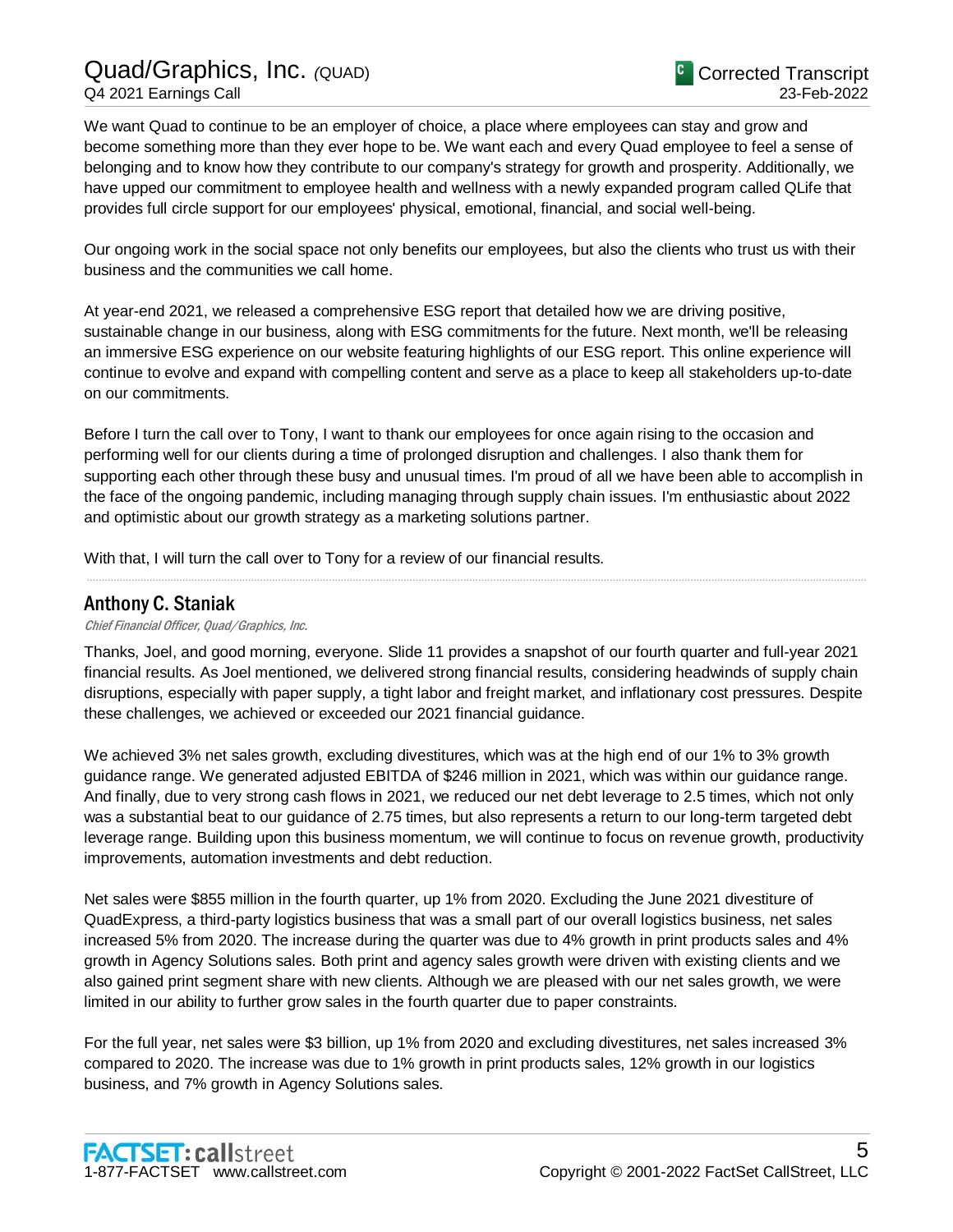## Quad/Graphics, Inc. *(*QUAD) Q4 2021 Earnings Call

We want Quad to continue to be an employer of choice, a place where employees can stay and grow and become something more than they ever hope to be. We want each and every Quad employee to feel a sense of belonging and to know how they contribute to our company's strategy for growth and prosperity. Additionally, we have upped our commitment to employee health and wellness with a newly expanded program called QLife that provides full circle support for our employees' physical, emotional, financial, and social well-being.

Our ongoing work in the social space not only benefits our employees, but also the clients who trust us with their business and the communities we call home.

At year-end 2021, we released a comprehensive ESG report that detailed how we are driving positive, sustainable change in our business, along with ESG commitments for the future. Next month, we'll be releasing an immersive ESG experience on our website featuring highlights of our ESG report. This online experience will continue to evolve and expand with compelling content and serve as a place to keep all stakeholders up-to-date on our commitments.

Before I turn the call over to Tony, I want to thank our employees for once again rising to the occasion and performing well for our clients during a time of prolonged disruption and challenges. I also thank them for supporting each other through these busy and unusual times. I'm proud of all we have been able to accomplish in the face of the ongoing pandemic, including managing through supply chain issues. I'm enthusiastic about 2022 and optimistic about our growth strategy as a marketing solutions partner.

.....................................................................................................................................................................................................................................................................

With that, I will turn the call over to Tony for a review of our financial results.

### Anthony C. Staniak

#### Chief Financial Officer, Quad/Graphics, Inc.

Thanks, Joel, and good morning, everyone. Slide 11 provides a snapshot of our fourth quarter and full-year 2021 financial results. As Joel mentioned, we delivered strong financial results, considering headwinds of supply chain disruptions, especially with paper supply, a tight labor and freight market, and inflationary cost pressures. Despite these challenges, we achieved or exceeded our 2021 financial guidance.

We achieved 3% net sales growth, excluding divestitures, which was at the high end of our 1% to 3% growth guidance range. We generated adjusted EBITDA of \$246 million in 2021, which was within our guidance range. And finally, due to very strong cash flows in 2021, we reduced our net debt leverage to 2.5 times, which not only was a substantial beat to our guidance of 2.75 times, but also represents a return to our long-term targeted debt leverage range. Building upon this business momentum, we will continue to focus on revenue growth, productivity improvements, automation investments and debt reduction.

Net sales were \$855 million in the fourth quarter, up 1% from 2020. Excluding the June 2021 divestiture of QuadExpress, a third-party logistics business that was a small part of our overall logistics business, net sales increased 5% from 2020. The increase during the quarter was due to 4% growth in print products sales and 4% growth in Agency Solutions sales. Both print and agency sales growth were driven with existing clients and we also gained print segment share with new clients. Although we are pleased with our net sales growth, we were limited in our ability to further grow sales in the fourth quarter due to paper constraints.

For the full year, net sales were \$3 billion, up 1% from 2020 and excluding divestitures, net sales increased 3% compared to 2020. The increase was due to 1% growth in print products sales, 12% growth in our logistics business, and 7% growth in Agency Solutions sales.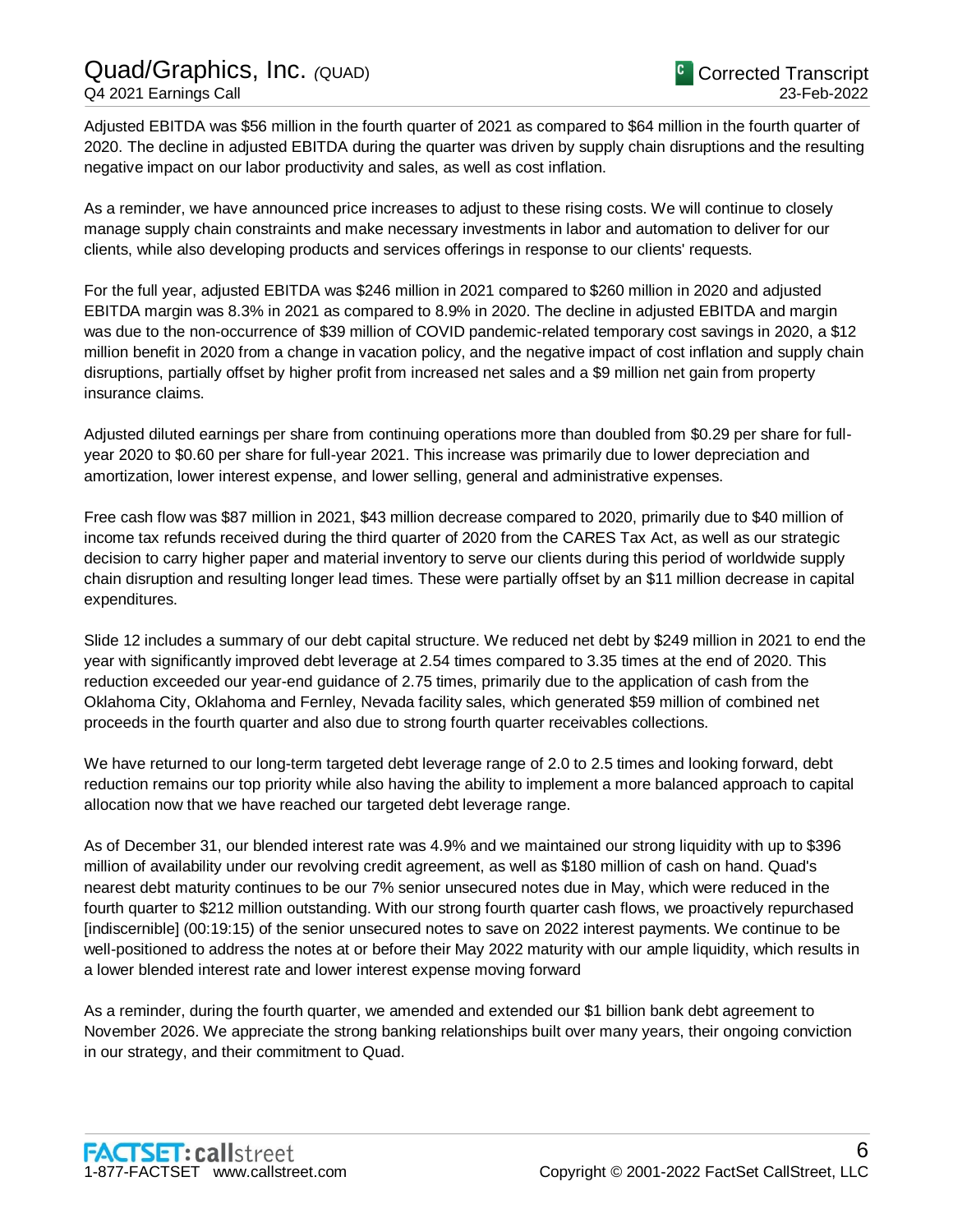Adjusted EBITDA was \$56 million in the fourth quarter of 2021 as compared to \$64 million in the fourth quarter of 2020. The decline in adjusted EBITDA during the quarter was driven by supply chain disruptions and the resulting negative impact on our labor productivity and sales, as well as cost inflation.

As a reminder, we have announced price increases to adjust to these rising costs. We will continue to closely manage supply chain constraints and make necessary investments in labor and automation to deliver for our clients, while also developing products and services offerings in response to our clients' requests.

For the full year, adjusted EBITDA was \$246 million in 2021 compared to \$260 million in 2020 and adjusted EBITDA margin was 8.3% in 2021 as compared to 8.9% in 2020. The decline in adjusted EBITDA and margin was due to the non-occurrence of \$39 million of COVID pandemic-related temporary cost savings in 2020, a \$12 million benefit in 2020 from a change in vacation policy, and the negative impact of cost inflation and supply chain disruptions, partially offset by higher profit from increased net sales and a \$9 million net gain from property insurance claims.

Adjusted diluted earnings per share from continuing operations more than doubled from \$0.29 per share for fullyear 2020 to \$0.60 per share for full-year 2021. This increase was primarily due to lower depreciation and amortization, lower interest expense, and lower selling, general and administrative expenses.

Free cash flow was \$87 million in 2021, \$43 million decrease compared to 2020, primarily due to \$40 million of income tax refunds received during the third quarter of 2020 from the CARES Tax Act, as well as our strategic decision to carry higher paper and material inventory to serve our clients during this period of worldwide supply chain disruption and resulting longer lead times. These were partially offset by an \$11 million decrease in capital expenditures.

Slide 12 includes a summary of our debt capital structure. We reduced net debt by \$249 million in 2021 to end the year with significantly improved debt leverage at 2.54 times compared to 3.35 times at the end of 2020. This reduction exceeded our year-end guidance of 2.75 times, primarily due to the application of cash from the Oklahoma City, Oklahoma and Fernley, Nevada facility sales, which generated \$59 million of combined net proceeds in the fourth quarter and also due to strong fourth quarter receivables collections.

We have returned to our long-term targeted debt leverage range of 2.0 to 2.5 times and looking forward, debt reduction remains our top priority while also having the ability to implement a more balanced approach to capital allocation now that we have reached our targeted debt leverage range.

As of December 31, our blended interest rate was 4.9% and we maintained our strong liquidity with up to \$396 million of availability under our revolving credit agreement, as well as \$180 million of cash on hand. Quad's nearest debt maturity continues to be our 7% senior unsecured notes due in May, which were reduced in the fourth quarter to \$212 million outstanding. With our strong fourth quarter cash flows, we proactively repurchased [indiscernible] (00:19:15) of the senior unsecured notes to save on 2022 interest payments. We continue to be well-positioned to address the notes at or before their May 2022 maturity with our ample liquidity, which results in a lower blended interest rate and lower interest expense moving forward

As a reminder, during the fourth quarter, we amended and extended our \$1 billion bank debt agreement to November 2026. We appreciate the strong banking relationships built over many years, their ongoing conviction in our strategy, and their commitment to Quad.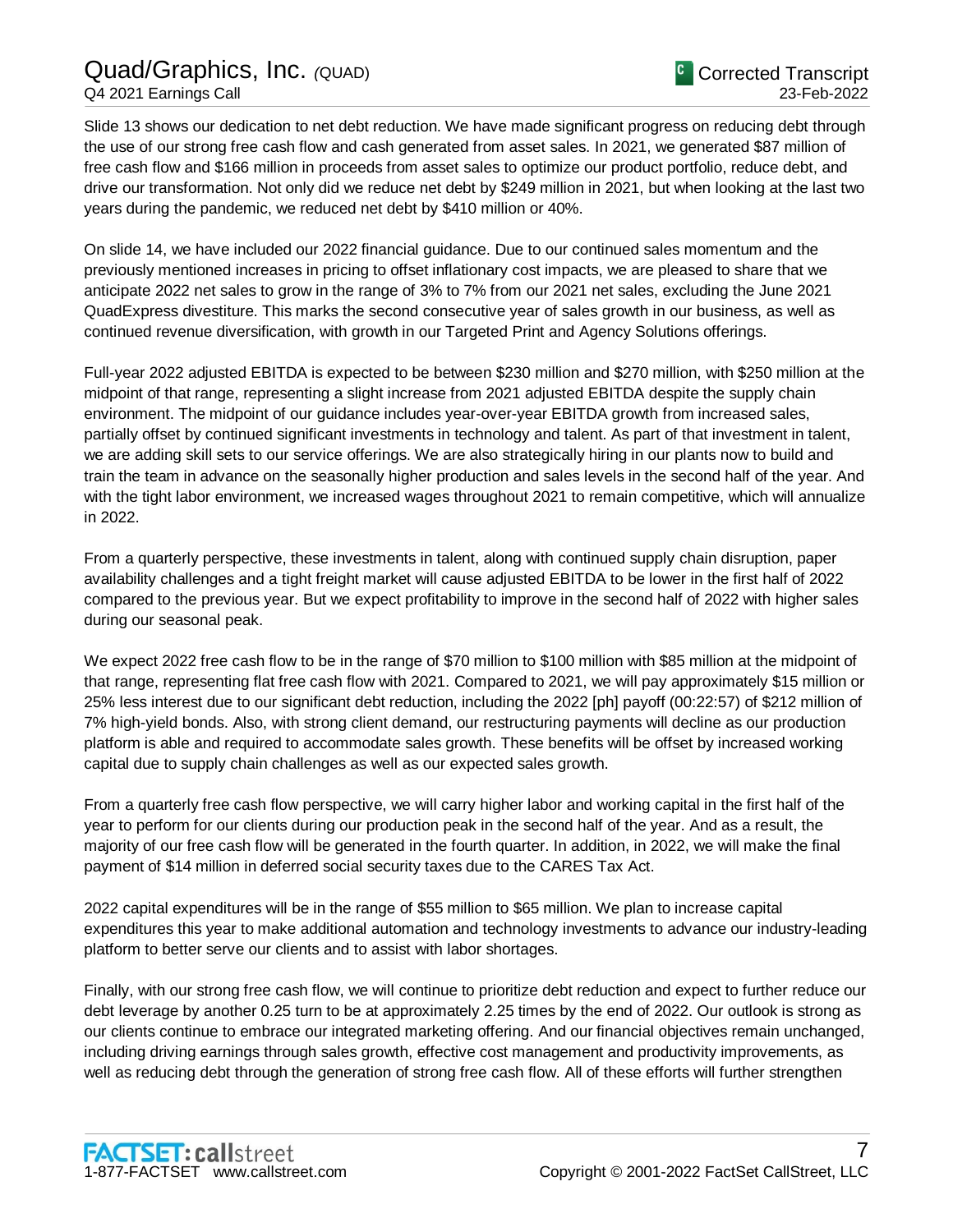Slide 13 shows our dedication to net debt reduction. We have made significant progress on reducing debt through the use of our strong free cash flow and cash generated from asset sales. In 2021, we generated \$87 million of free cash flow and \$166 million in proceeds from asset sales to optimize our product portfolio, reduce debt, and drive our transformation. Not only did we reduce net debt by \$249 million in 2021, but when looking at the last two years during the pandemic, we reduced net debt by \$410 million or 40%.

On slide 14, we have included our 2022 financial guidance. Due to our continued sales momentum and the previously mentioned increases in pricing to offset inflationary cost impacts, we are pleased to share that we anticipate 2022 net sales to grow in the range of 3% to 7% from our 2021 net sales, excluding the June 2021 QuadExpress divestiture. This marks the second consecutive year of sales growth in our business, as well as continued revenue diversification, with growth in our Targeted Print and Agency Solutions offerings.

Full-year 2022 adjusted EBITDA is expected to be between \$230 million and \$270 million, with \$250 million at the midpoint of that range, representing a slight increase from 2021 adjusted EBITDA despite the supply chain environment. The midpoint of our guidance includes year-over-year EBITDA growth from increased sales, partially offset by continued significant investments in technology and talent. As part of that investment in talent, we are adding skill sets to our service offerings. We are also strategically hiring in our plants now to build and train the team in advance on the seasonally higher production and sales levels in the second half of the year. And with the tight labor environment, we increased wages throughout 2021 to remain competitive, which will annualize in 2022.

From a quarterly perspective, these investments in talent, along with continued supply chain disruption, paper availability challenges and a tight freight market will cause adjusted EBITDA to be lower in the first half of 2022 compared to the previous year. But we expect profitability to improve in the second half of 2022 with higher sales during our seasonal peak.

We expect 2022 free cash flow to be in the range of \$70 million to \$100 million with \$85 million at the midpoint of that range, representing flat free cash flow with 2021. Compared to 2021, we will pay approximately \$15 million or 25% less interest due to our significant debt reduction, including the 2022 [ph] payoff (00:22:57) of \$212 million of 7% high-yield bonds. Also, with strong client demand, our restructuring payments will decline as our production platform is able and required to accommodate sales growth. These benefits will be offset by increased working capital due to supply chain challenges as well as our expected sales growth.

From a quarterly free cash flow perspective, we will carry higher labor and working capital in the first half of the year to perform for our clients during our production peak in the second half of the year. And as a result, the majority of our free cash flow will be generated in the fourth quarter. In addition, in 2022, we will make the final payment of \$14 million in deferred social security taxes due to the CARES Tax Act.

2022 capital expenditures will be in the range of \$55 million to \$65 million. We plan to increase capital expenditures this year to make additional automation and technology investments to advance our industry-leading platform to better serve our clients and to assist with labor shortages.

Finally, with our strong free cash flow, we will continue to prioritize debt reduction and expect to further reduce our debt leverage by another 0.25 turn to be at approximately 2.25 times by the end of 2022. Our outlook is strong as our clients continue to embrace our integrated marketing offering. And our financial objectives remain unchanged, including driving earnings through sales growth, effective cost management and productivity improvements, as well as reducing debt through the generation of strong free cash flow. All of these efforts will further strengthen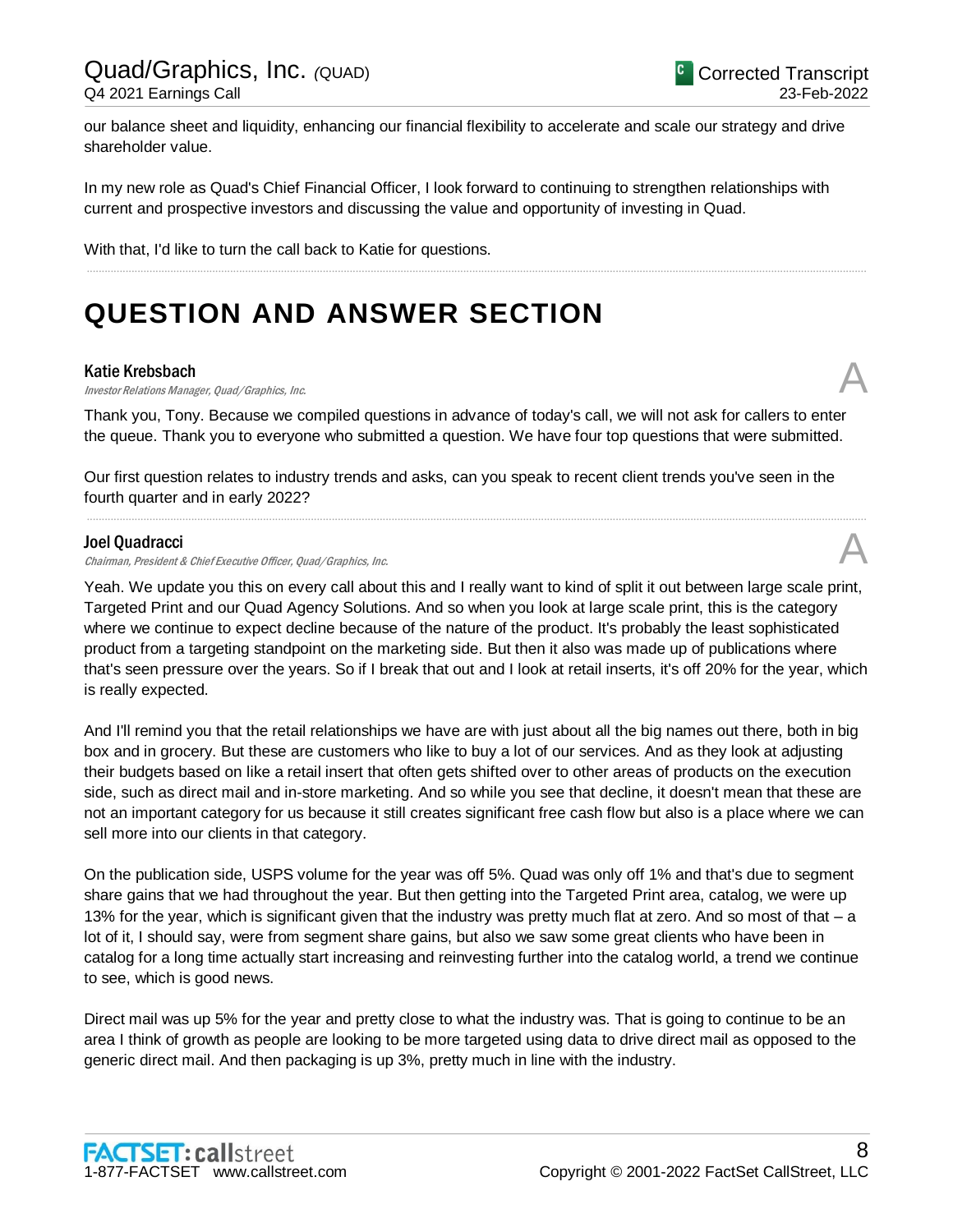our balance sheet and liquidity, enhancing our financial flexibility to accelerate and scale our strategy and drive shareholder value.

In my new role as Quad's Chief Financial Officer, I look forward to continuing to strengthen relationships with current and prospective investors and discussing the value and opportunity of investing in Quad.

.....................................................................................................................................................................................................................................................................

With that, I'd like to turn the call back to Katie for questions.

## **QUESTION AND ANSWER SECTION**

#### Katie Krebsbach

**Katie Krebsbach**<br>Investor Relations Manager, Quad/Graphics, Inc.  $\mathcal{A}$ 

Thank you, Tony. Because we compiled questions in advance of today's call, we will not ask for callers to enter the queue. Thank you to everyone who submitted a question. We have four top questions that were submitted.

Our first question relates to industry trends and asks, can you speak to recent client trends you've seen in the fourth quarter and in early 2022?

.....................................................................................................................................................................................................................................................................

#### Joel Quadracci

Chairman, President & Chief Executive Officer, Quad/Graphics, Inc.

Yeah. We update you this on every call about this and I really want to kind of split it out between large scale print, Targeted Print and our Quad Agency Solutions. And so when you look at large scale print, this is the category where we continue to expect decline because of the nature of the product. It's probably the least sophisticated product from a targeting standpoint on the marketing side. But then it also was made up of publications where that's seen pressure over the years. So if I break that out and I look at retail inserts, it's off 20% for the year, which is really expected.

And I'll remind you that the retail relationships we have are with just about all the big names out there, both in big box and in grocery. But these are customers who like to buy a lot of our services. And as they look at adjusting their budgets based on like a retail insert that often gets shifted over to other areas of products on the execution side, such as direct mail and in-store marketing. And so while you see that decline, it doesn't mean that these are not an important category for us because it still creates significant free cash flow but also is a place where we can sell more into our clients in that category.

On the publication side, USPS volume for the year was off 5%. Quad was only off 1% and that's due to segment share gains that we had throughout the year. But then getting into the Targeted Print area, catalog, we were up 13% for the year, which is significant given that the industry was pretty much flat at zero. And so most of that – a lot of it, I should say, were from segment share gains, but also we saw some great clients who have been in catalog for a long time actually start increasing and reinvesting further into the catalog world, a trend we continue to see, which is good news.

Direct mail was up 5% for the year and pretty close to what the industry was. That is going to continue to be an area I think of growth as people are looking to be more targeted using data to drive direct mail as opposed to the generic direct mail. And then packaging is up 3%, pretty much in line with the industry.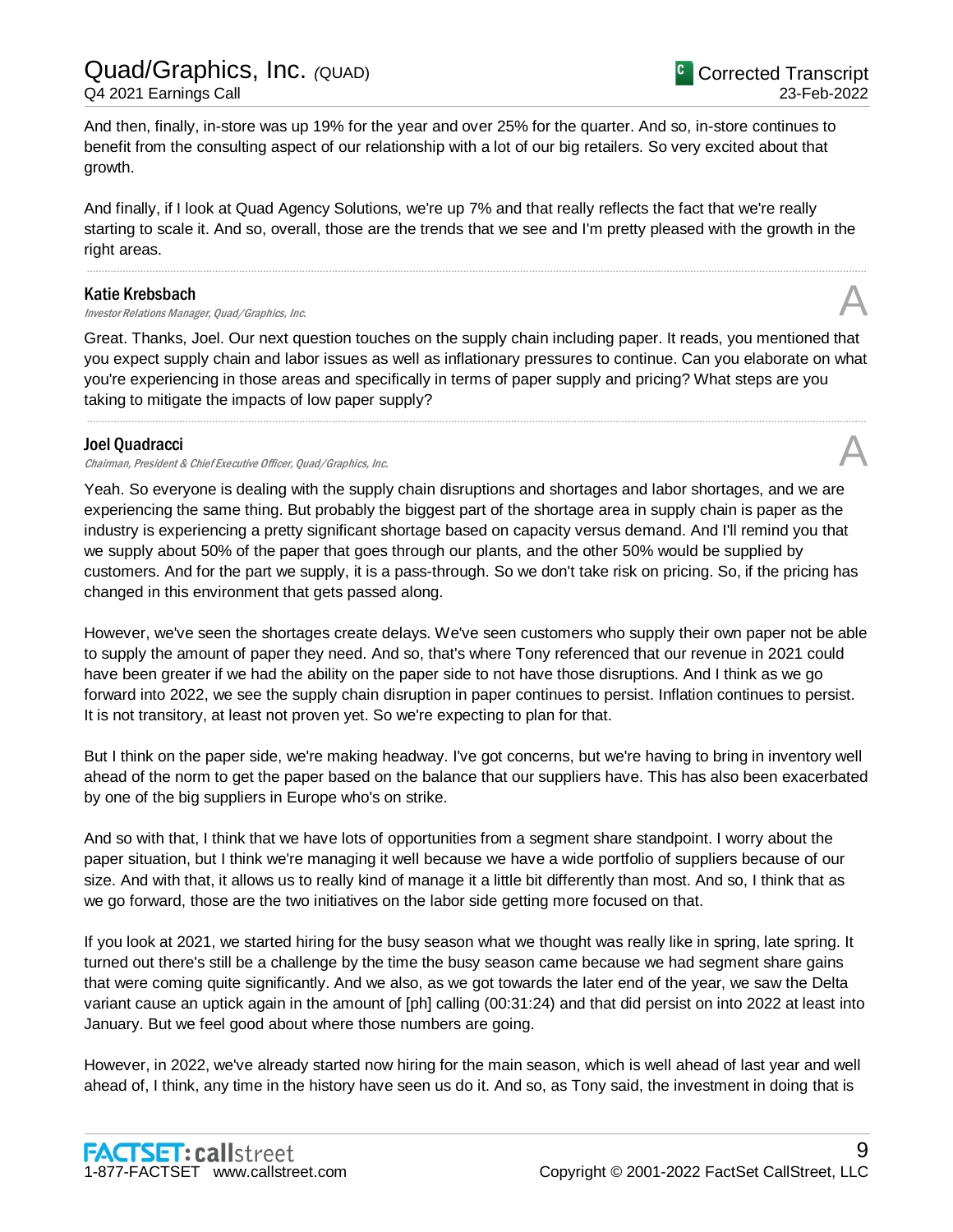And then, finally, in-store was up 19% for the year and over 25% for the quarter. And so, in-store continues to benefit from the consulting aspect of our relationship with a lot of our big retailers. So very excited about that growth.

And finally, if I look at Quad Agency Solutions, we're up 7% and that really reflects the fact that we're really starting to scale it. And so, overall, those are the trends that we see and I'm pretty pleased with the growth in the right areas.

.....................................................................................................................................................................................................................................................................

#### Katie Krebsbach

Investor Relations Manager, Quad/Graphics, Inc. A

Great. Thanks, Joel. Our next question touches on the supply chain including paper. It reads, you mentioned that you expect supply chain and labor issues as well as inflationary pressures to continue. Can you elaborate on what you're experiencing in those areas and specifically in terms of paper supply and pricing? What steps are you taking to mitigate the impacts of low paper supply?

.....................................................................................................................................................................................................................................................................

#### Joel Quadracci

Chairman, President & Chief Executive Officer, Quad/Graphics, Inc.

Yeah. So everyone is dealing with the supply chain disruptions and shortages and labor shortages, and we are experiencing the same thing. But probably the biggest part of the shortage area in supply chain is paper as the industry is experiencing a pretty significant shortage based on capacity versus demand. And I'll remind you that we supply about 50% of the paper that goes through our plants, and the other 50% would be supplied by customers. And for the part we supply, it is a pass-through. So we don't take risk on pricing. So, if the pricing has changed in this environment that gets passed along.

However, we've seen the shortages create delays. We've seen customers who supply their own paper not be able to supply the amount of paper they need. And so, that's where Tony referenced that our revenue in 2021 could have been greater if we had the ability on the paper side to not have those disruptions. And I think as we go forward into 2022, we see the supply chain disruption in paper continues to persist. Inflation continues to persist. It is not transitory, at least not proven yet. So we're expecting to plan for that.

But I think on the paper side, we're making headway. I've got concerns, but we're having to bring in inventory well ahead of the norm to get the paper based on the balance that our suppliers have. This has also been exacerbated by one of the big suppliers in Europe who's on strike.

And so with that, I think that we have lots of opportunities from a segment share standpoint. I worry about the paper situation, but I think we're managing it well because we have a wide portfolio of suppliers because of our size. And with that, it allows us to really kind of manage it a little bit differently than most. And so, I think that as we go forward, those are the two initiatives on the labor side getting more focused on that.

If you look at 2021, we started hiring for the busy season what we thought was really like in spring, late spring. It turned out there's still be a challenge by the time the busy season came because we had segment share gains that were coming quite significantly. And we also, as we got towards the later end of the year, we saw the Delta variant cause an uptick again in the amount of [ph] calling (00:31:24) and that did persist on into 2022 at least into January. But we feel good about where those numbers are going.

However, in 2022, we've already started now hiring for the main season, which is well ahead of last year and well ahead of, I think, any time in the history have seen us do it. And so, as Tony said, the investment in doing that is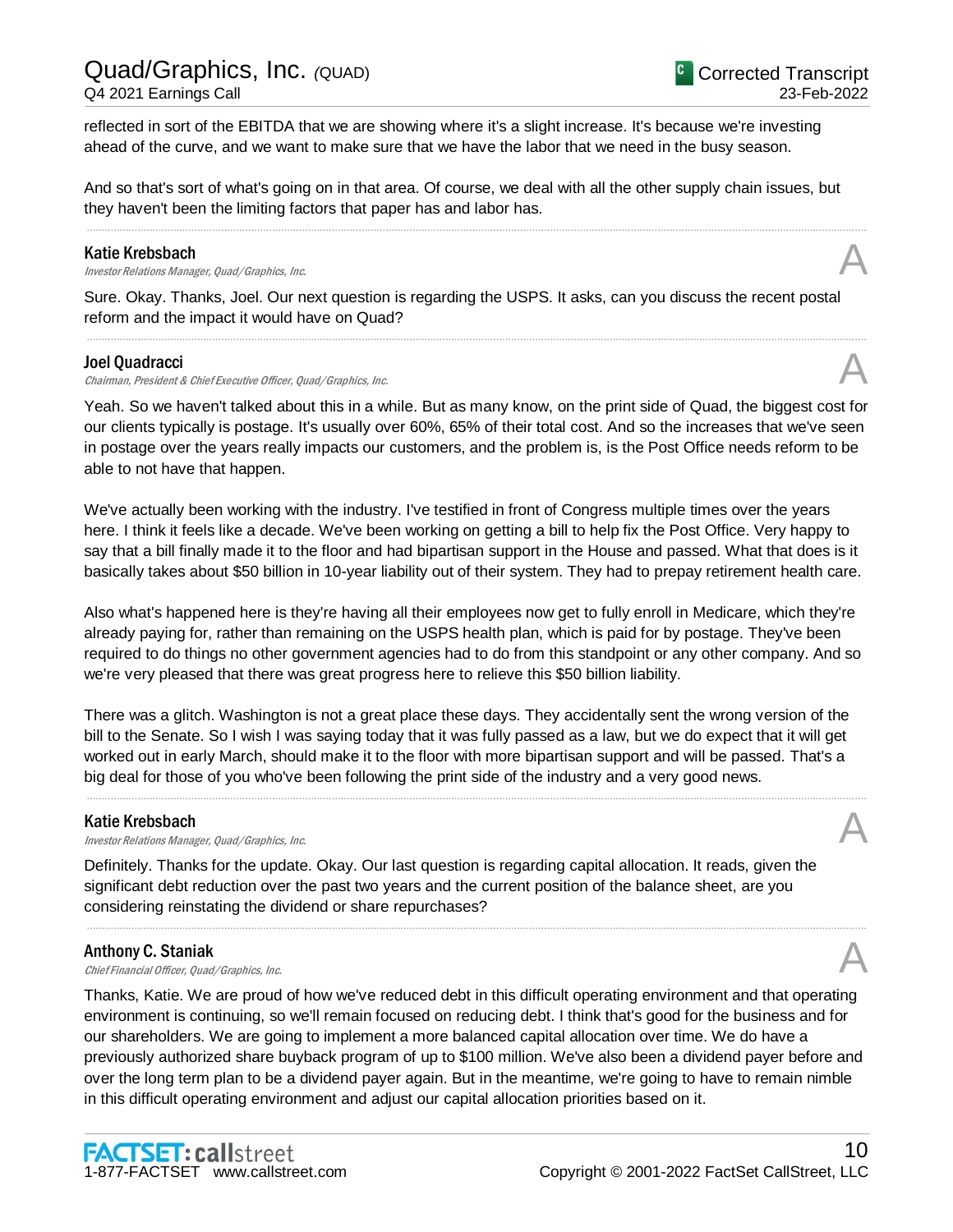reflected in sort of the EBITDA that we are showing where it's a slight increase. It's because we're investing ahead of the curve, and we want to make sure that we have the labor that we need in the busy season.

And so that's sort of what's going on in that area. Of course, we deal with all the other supply chain issues, but they haven't been the limiting factors that paper has and labor has.

.....................................................................................................................................................................................................................................................................

#### Katie Krebsbach

**Katie Krebsbach**<br>Investor Relations Manager, Quad/Graphics, Inc. **Analysis of the Contract Oracle Contract Contract Contract Cont** 

Sure. Okay. Thanks, Joel. Our next question is regarding the USPS. It asks, can you discuss the recent postal reform and the impact it would have on Quad?

.....................................................................................................................................................................................................................................................................

#### Joel Quadracci

Chairman, President & Chief Executive Officer, Quad/Graphics, Inc.

Yeah. So we haven't talked about this in a while. But as many know, on the print side of Quad, the biggest cost for our clients typically is postage. It's usually over 60%, 65% of their total cost. And so the increases that we've seen in postage over the years really impacts our customers, and the problem is, is the Post Office needs reform to be able to not have that happen.

We've actually been working with the industry. I've testified in front of Congress multiple times over the years here. I think it feels like a decade. We've been working on getting a bill to help fix the Post Office. Very happy to say that a bill finally made it to the floor and had bipartisan support in the House and passed. What that does is it basically takes about \$50 billion in 10-year liability out of their system. They had to prepay retirement health care.

Also what's happened here is they're having all their employees now get to fully enroll in Medicare, which they're already paying for, rather than remaining on the USPS health plan, which is paid for by postage. They've been required to do things no other government agencies had to do from this standpoint or any other company. And so we're very pleased that there was great progress here to relieve this \$50 billion liability.

There was a glitch. Washington is not a great place these days. They accidentally sent the wrong version of the bill to the Senate. So I wish I was saying today that it was fully passed as a law, but we do expect that it will get worked out in early March, should make it to the floor with more bipartisan support and will be passed. That's a big deal for those of you who've been following the print side of the industry and a very good news.

.....................................................................................................................................................................................................................................................................

.....................................................................................................................................................................................................................................................................

#### Katie Krebsbach

**Katie Krebsbach**<br>Investor Relations Manager, Quad/Graphics, Inc. **Analysis of the Contract Oracle Contract Contract Contract Cont** 

Definitely. Thanks for the update. Okay. Our last question is regarding capital allocation. It reads, given the significant debt reduction over the past two years and the current position of the balance sheet, are you considering reinstating the dividend or share repurchases?

#### Anthony C. Staniak

**Anthony C. Staniak**<br>Chief Financial Officer, Quad/Graphics, Inc.  $\mathcal{A}$ 

Thanks, Katie. We are proud of how we've reduced debt in this difficult operating environment and that operating environment is continuing, so we'll remain focused on reducing debt. I think that's good for the business and for our shareholders. We are going to implement a more balanced capital allocation over time. We do have a previously authorized share buyback program of up to \$100 million. We've also been a dividend payer before and over the long term plan to be a dividend payer again. But in the meantime, we're going to have to remain nimble in this difficult operating environment and adjust our capital allocation priorities based on it.